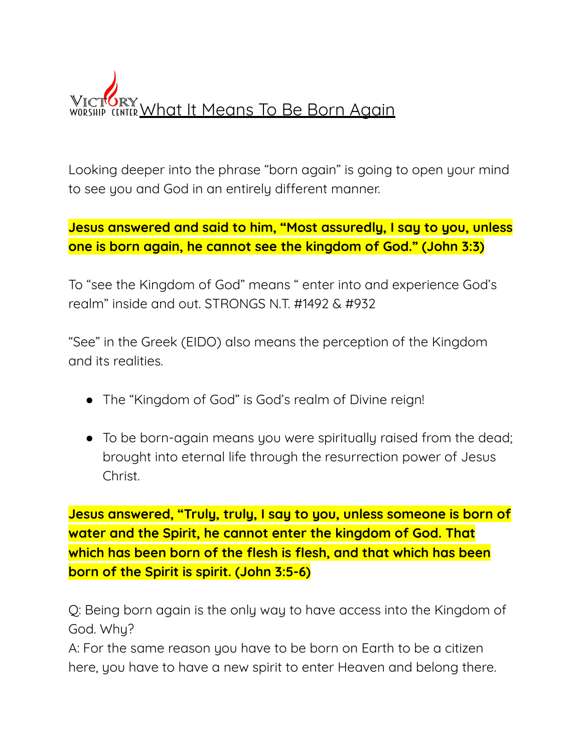

Looking deeper into the phrase "born again" is going to open your mind to see you and God in an entirely different manner.

**Jesus answered and said to him, "Most assuredly, I say to you, unless one is born again, he cannot see the kingdom of God." (John 3:3)**

To "see the Kingdom of God" means " enter into and experience God's realm" inside and out. STRONGS N.T. #1492 & #932

"See" in the Greek (EIDO) also means the perception of the Kingdom and its realities.

- The "Kingdom of God" is God's realm of Divine reign!
- To be born-again means you were spiritually raised from the dead; brought into eternal life through the resurrection power of Jesus Christ.

**Jesus answered, "Truly, truly, I say to you, unless someone is born of water and the Spirit, he cannot enter the kingdom of God. That which has been born of the flesh is flesh, and that which has been born of the Spirit is spirit. (John 3:5-6)**

Q: Being born again is the only way to have access into the Kingdom of God. Why?

A: For the same reason you have to be born on Earth to be a citizen here, you have to have a new spirit to enter Heaven and belong there.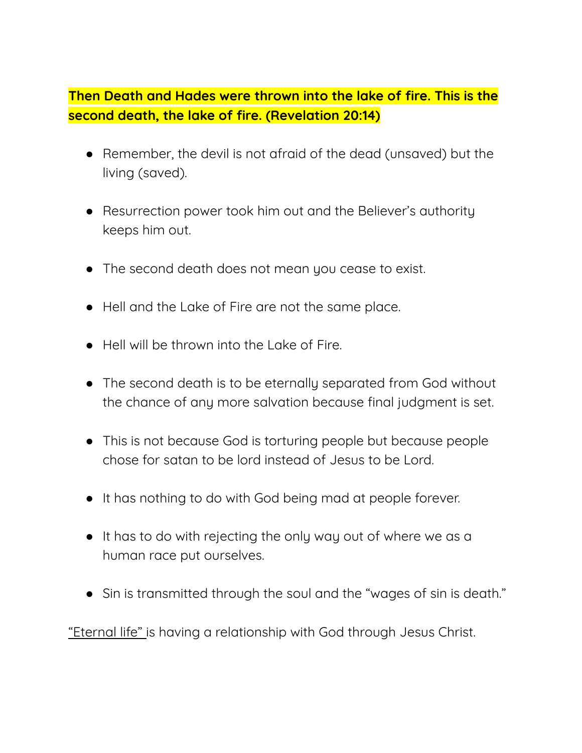**Then Death and Hades were thrown into the lake of fire. This is the second death, the lake of fire. (Revelation 20:14)**

- Remember, the devil is not afraid of the dead (unsaved) but the living (saved).
- Resurrection power took him out and the Believer's authority keeps him out.
- The second death does not mean you cease to exist.
- Hell and the Lake of Fire are not the same place.
- Hell will be thrown into the Lake of Fire.
- The second death is to be eternally separated from God without the chance of any more salvation because final judgment is set.
- This is not because God is torturing people but because people chose for satan to be lord instead of Jesus to be Lord.
- It has nothing to do with God being mad at people forever.
- It has to do with rejecting the only way out of where we as a human race put ourselves.
- Sin is transmitted through the soul and the "wages of sin is death."

"Eternal life" is having a relationship with God through Jesus Christ.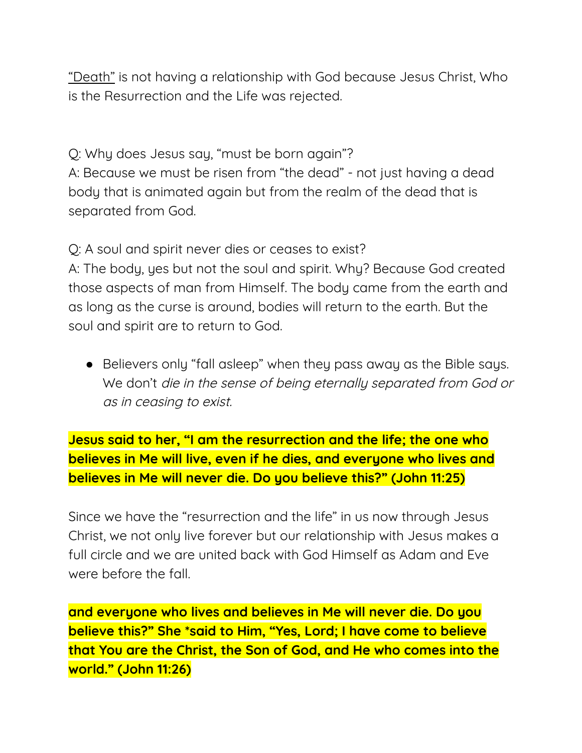"Death" is not having a relationship with God because Jesus Christ, Who is the Resurrection and the Life was rejected.

Q: Why does Jesus say, "must be born again"? A: Because we must be risen from "the dead" - not just having a dead body that is animated again but from the realm of the dead that is separated from God.

Q: A soul and spirit never dies or ceases to exist?

A: The body, yes but not the soul and spirit. Why? Because God created those aspects of man from Himself. The body came from the earth and as long as the curse is around, bodies will return to the earth. But the soul and spirit are to return to God.

● Believers only "fall asleep" when they pass away as the Bible says. We don't die in the sense of being eternally separated from God or as in ceasing to exist.

**Jesus said to her, "I am the resurrection and the life; the one who believes in Me will live, even if he dies, and everyone who lives and believes in Me will never die. Do you believe this?" (John 11:25)**

Since we have the "resurrection and the life" in us now through Jesus Christ, we not only live forever but our relationship with Jesus makes a full circle and we are united back with God Himself as Adam and Eve were before the fall.

**and everyone who lives and believes in Me will never die. Do you believe this?" She \*said to Him, "Yes, Lord; I have come to believe that You are the Christ, the Son of God, and He who comes into the world." (John 11:26)**